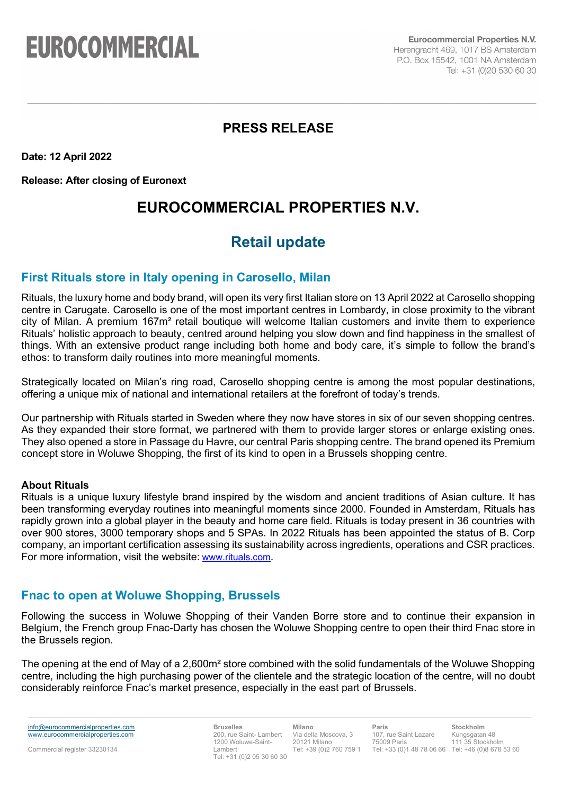# **EUROCOMMERCIAL**

**Eurocommercial Properties N.V.** Herengracht 469, 1017 BS Amsterdam P.O. Box 15542, 1001 NA Amsterdam Tel: +31 (0)20 530 60 30

## **PRESS RELEASE**

**Date: 12 April 2022**

**Release: After closing of Euronext**

# **EUROCOMMERCIAL PROPERTIES N.V.**

# **Retail update**

## **First Rituals store in Italy opening in Carosello, Milan**

Rituals, the luxury home and body brand, will open its very first Italian store on 13 April 2022 at Carosello shopping centre in Carugate. Carosello is one of the most important centres in Lombardy, in close proximity to the vibrant city of Milan. A premium 167m² retail boutique will welcome Italian customers and invite them to experience Rituals' holistic approach to beauty, centred around helping you slow down and find happiness in the smallest of things. With an extensive product range including both home and body care, it's simple to follow the brand's ethos: to transform daily routines into more meaningful moments.

Strategically located on Milan's ring road, Carosello shopping centre is among the most popular destinations, offering a unique mix of national and international retailers at the forefront of today's trends.

Our partnership with Rituals started in Sweden where they now have stores in six of our seven shopping centres. As they expanded their store format, we partnered with them to provide larger stores or enlarge existing ones. They also opened a store in Passage du Havre, our central Paris shopping centre. The brand opened its Premium concept store in Woluwe Shopping, the first of its kind to open in a Brussels shopping centre.

#### **About Rituals**

Rituals is a unique luxury lifestyle brand inspired by the wisdom and ancient traditions of Asian culture. It has been transforming everyday routines into meaningful moments since 2000. Founded in Amsterdam, Rituals has rapidly grown into a global player in the beauty and home care field. Rituals is today present in 36 countries with over 900 stores, 3000 temporary shops and 5 SPAs. In 2022 Rituals has been appointed the status of B. Corp company, an important certification assessing its sustainability across ingredients, operations and CSR practices. For more information, visit the website: [www.rituals.com.](http://www.rituals.com/)

### **Fnac to open at Woluwe Shopping, Brussels**

Following the success in Woluwe Shopping of their Vanden Borre store and to continue their expansion in Belgium, the French group Fnac-Darty has chosen the Woluwe Shopping centre to open their third Fnac store in the Brussels region.

The opening at the end of May of a 2,600m² store combined with the solid fundamentals of the Woluwe Shopping centre, including the high purchasing power of the clientele and the strategic location of the centre, will no doubt considerably reinforce Fnac's market presence, especially in the east part of Brussels.

info@eurocommercialproperties.com www.eurocommercialproperties.com

**Bruxelles** 200, rue Saint- Lambert 1200 Woluwe-Saint-Lambert Tel: +31 (0)2 05 30 60 30

**Milano** Via della Moscova, 3 20121 Milano Tel: +39 (0)2 760 759 1

**Paris** 107, rue Saint Lazare 75009 Paris Tel: +33 (0)1 48 78 06 66 Tel: +46 (0)8 678 53 60

**Stockholm** Kungsgatan 48 111 35 Stockholm